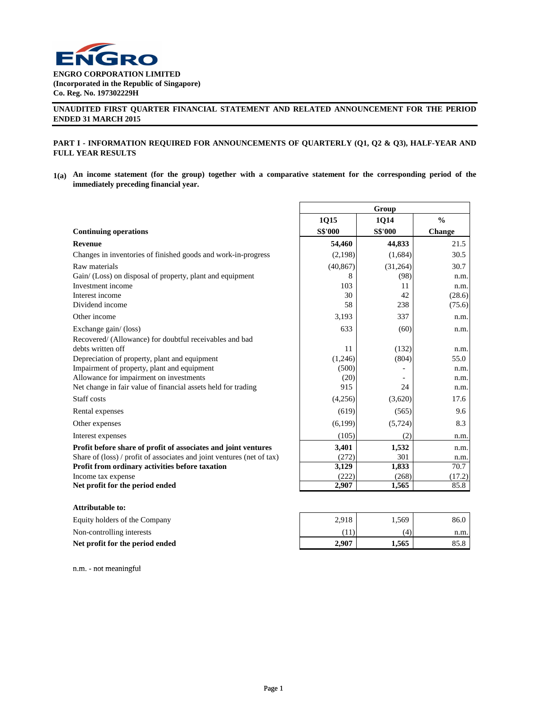

# **UNAUDITED FIRST QUARTER FINANCIAL STATEMENT AND RELATED ANNOUNCEMENT FOR THE PERIOD ENDED 31 MARCH 2015**

# **PART I - INFORMATION REQUIRED FOR ANNOUNCEMENTS OF QUARTERLY (Q1, Q2 & Q3), HALF-YEAR AND FULL YEAR RESULTS**

 $1(a)$  An income statement (for the group) together with a comparative statement for the corresponding period of the **immediately preceding financial year.**

|                                                                        |                | Group          |               |
|------------------------------------------------------------------------|----------------|----------------|---------------|
|                                                                        | 1Q15           | 1Q14           | $\frac{0}{0}$ |
| <b>Continuing operations</b>                                           | <b>S\$'000</b> | <b>S\$'000</b> | Change        |
| <b>Revenue</b>                                                         | 54,460         | 44,833         | 21.5          |
| Changes in inventories of finished goods and work-in-progress          | (2,198)        | (1,684)        | 30.5          |
| Raw materials                                                          | (40, 867)      | (31,264)       | 30.7          |
| Gain/ (Loss) on disposal of property, plant and equipment              | 8              | (98)           | n.m.          |
| Investment income                                                      | 103            | 11             | n.m.          |
| Interest income                                                        | 30             | 42             | (28.6)        |
| Dividend income                                                        | 58             | 238            | (75.6)        |
| Other income                                                           | 3,193          | 337            | n.m.          |
| Exchange gain/(loss)                                                   | 633            | (60)           | n.m.          |
| Recovered/ (Allowance) for doubtful receivables and bad                |                |                |               |
| debts written off                                                      | 11             | (132)          | n.m.          |
| Depreciation of property, plant and equipment                          | (1,246)        | (804)          | 55.0          |
| Impairment of property, plant and equipment                            | (500)          |                | n.m.          |
| Allowance for impairment on investments                                | (20)           |                | n.m.          |
| Net change in fair value of financial assets held for trading          | 915            | 24             | n.m.          |
| Staff costs                                                            | (4,256)        | (3,620)        | 17.6          |
| Rental expenses                                                        | (619)          | (565)          | 9.6           |
| Other expenses                                                         | (6,199)        | (5, 724)       | 8.3           |
| Interest expenses                                                      | (105)          | (2)            | n.m.          |
| Profit before share of profit of associates and joint ventures         | 3,401          | 1,532          | n.m.          |
| Share of (loss) / profit of associates and joint ventures (net of tax) | (272)          | 301            | n.m.          |
| Profit from ordinary activities before taxation                        | 3,129          | 1,833          | 70.7          |
| Income tax expense                                                     | (222)          | (268)          | (17.2)        |
| Net profit for the period ended                                        | 2,907          | 1,565          | 85.8          |
| <b>Attributable to:</b>                                                |                |                |               |
| Equity holders of the Company                                          | 2,918          | 1,569          | 86.0          |
| Non-controlling interests                                              | (11)           | (4)            | n.m.          |
| Net profit for the period ended                                        | 2,907          | 1,565          | 85.8          |

n.m. - not meaningful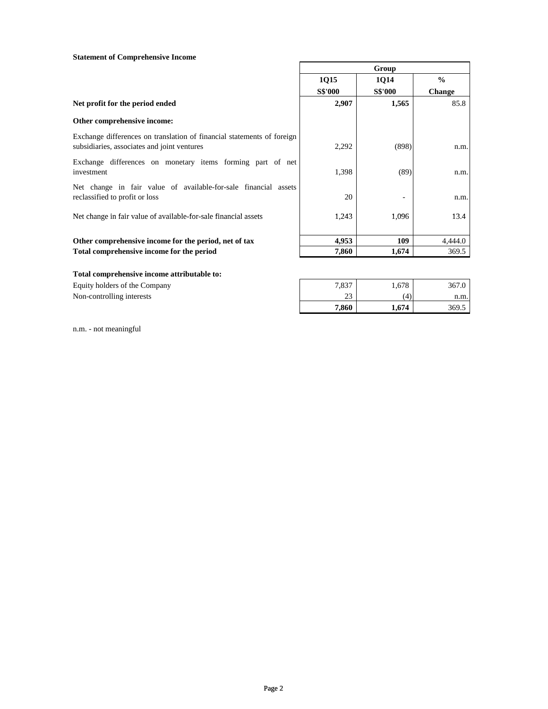# **Statement of Comprehensive Income**

|                                                                                                                       | Group          |                |               |
|-----------------------------------------------------------------------------------------------------------------------|----------------|----------------|---------------|
|                                                                                                                       | <b>1015</b>    | <b>1014</b>    | $\frac{0}{0}$ |
|                                                                                                                       | <b>S\$'000</b> | <b>S\$'000</b> | <b>Change</b> |
| Net profit for the period ended                                                                                       | 2,907          | 1,565          | 85.8          |
| Other comprehensive income:                                                                                           |                |                |               |
| Exchange differences on translation of financial statements of foreign<br>subsidiaries, associates and joint ventures | 2,292          | (898)          | n.m.          |
| Exchange differences on monetary items forming part of net<br>investment                                              | 1,398          | (89)           | n.m.          |
| Net change in fair value of available-for-sale financial assets<br>reclassified to profit or loss                     | 20             |                | n.m.          |
| Net change in fair value of available-for-sale financial assets                                                       | 1,243          | 1,096          | 13.4          |
| Other comprehensive income for the period, net of tax                                                                 | 4,953          | 109            | 4,444.0       |
| Total comprehensive income for the period                                                                             | 7,860          | 1,674          | 369.5         |

H

# **Total comprehensive income attributable to:**

Equity holders of the Company Non-controlling interests

| 7,837 | 1,678    | 367.0 |
|-------|----------|-------|
| 23    | $\Delta$ | n.m.  |
| 7,860 | 1,674    | 369.5 |

n.m. - not meaningful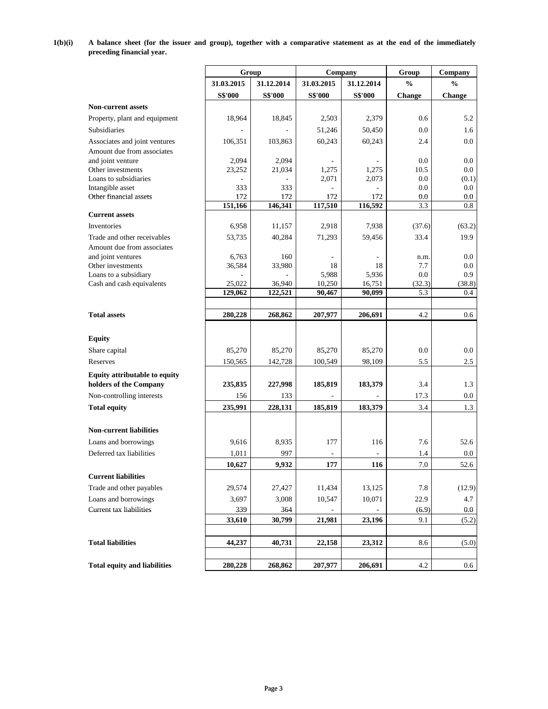**1(b)(i)** A balance sheet (for the issuer and group), together with a comparative statement as at the end of the immediately **preceding financial year.**

|                                                             |                 | Group          | Company        |                | Group         | Company            |
|-------------------------------------------------------------|-----------------|----------------|----------------|----------------|---------------|--------------------|
|                                                             | 31.03.2015      | 31.12.2014     | 31.03.2015     | 31.12.2014     | $\frac{0}{0}$ | $\frac{0}{0}$      |
|                                                             | <b>S\$'000</b>  | <b>S\$'000</b> | <b>S\$'000</b> | <b>S\$'000</b> | <b>Change</b> | <b>Change</b>      |
| <b>Non-current assets</b>                                   |                 |                |                |                |               |                    |
| Property, plant and equipment                               | 18,964          | 18,845         | 2,503          | 2,379          | 0.6           | 5.2                |
| Subsidiaries                                                |                 |                | 51,246         | 50,450         | 0.0           | 1.6                |
|                                                             |                 |                |                |                |               |                    |
| Associates and joint ventures<br>Amount due from associates | 106,351         | 103,863        | 60,243         | 60,243         | 2.4           | $0.0\,$            |
| and joint venture                                           | 2,094           | 2,094          |                |                | 0.0           | $0.0\,$            |
| Other investments                                           | 23,252          | 21,034         | 1,275          | 1,275          | 10.5          | $0.0\,$            |
| Loans to subsidiaries                                       |                 |                | 2,071          | 2,073          | 0.0           | (0.1)              |
| Intangible asset                                            | 333             | 333            |                |                | 0.0           | 0.0                |
| Other financial assets                                      | 172             | 172            | 172            | 172            | 0.0           | $0.0\,$            |
|                                                             | 151,166         | 146,341        | 117,510        | 116,592        | 3.3           | 0.8                |
| <b>Current assets</b>                                       |                 |                |                |                |               |                    |
| Inventories                                                 | 6,958           | 11,157         | 2,918          | 7,938          | (37.6)        | (63.2)             |
| Trade and other receivables                                 | 53,735          | 40,284         | 71,293         | 59,456         | 33.4          | 19.9               |
| Amount due from associates                                  |                 |                |                |                |               |                    |
| and joint ventures<br>Other investments                     | 6,763<br>36,584 | 160<br>33,980  | 18             | 18             | n.m.<br>7.7   | $0.0\,$<br>$0.0\,$ |
| Loans to a subsidiary                                       |                 |                | 5,988          | 5,936          | 0.0           | 0.9                |
| Cash and cash equivalents                                   | 25,022          | 36,940         | 10,250         | 16,751         | (32.3)        | (38.8)             |
|                                                             | 129,062         | 122,521        | 90,467         | 90,099         | 5.3           | 0.4                |
|                                                             |                 |                |                |                |               |                    |
| <b>Total assets</b>                                         | 280,228         | 268,862        | 207,977        | 206,691        | 4.2           | 0.6                |
|                                                             |                 |                |                |                |               |                    |
| <b>Equity</b>                                               |                 |                |                |                |               |                    |
| Share capital                                               | 85,270          | 85,270         | 85,270         | 85,270         | 0.0           | $0.0\,$            |
| Reserves                                                    | 150,565         | 142,728        | 100,549        | 98,109         | 5.5           | 2.5                |
|                                                             |                 |                |                |                |               |                    |
| Equity attributable to equity                               |                 |                |                |                |               |                    |
| holders of the Company                                      | 235,835         | 227,998        | 185,819        | 183,379        | 3.4           | 1.3                |
| Non-controlling interests                                   | 156             | 133            |                |                | 17.3          | $0.0\,$            |
| <b>Total equity</b>                                         | 235,991         | 228,131        | 185,819        | 183,379        | 3.4           | 1.3                |
|                                                             |                 |                |                |                |               |                    |
| <b>Non-current liabilities</b>                              |                 |                |                |                |               |                    |
| Loans and borrowings                                        | 9,616           | 8,935          | 177            | 116            | 7.6           | 52.6               |
| Deferred tax liabilities                                    | 1,011           | 997            |                |                | 1.4           | $0.0\,$            |
|                                                             | 10,627          | 9,932          | 177            | 116            | $7.0\,$       | 52.6               |
| <b>Current liabilities</b>                                  |                 |                |                |                |               |                    |
| Trade and other payables                                    | 29,574          | 27,427         | 11,434         | 13,125         | 7.8           | (12.9)             |
| Loans and borrowings                                        | 3,697           | 3,008          | 10,547         | 10,071         | 22.9          | 4.7                |
| Current tax liabilities                                     | 339             | 364            |                |                | (6.9)         | $0.0\,$            |
|                                                             | 33,610          | 30,799         | 21,981         | 23,196         | 9.1           | (5.2)              |
|                                                             |                 |                |                |                |               |                    |
|                                                             |                 |                |                |                |               |                    |
| <b>Total liabilities</b>                                    | 44,237          | 40,731         | 22,158         | 23,312         | 8.6           | (5.0)              |
|                                                             |                 |                |                |                |               |                    |
| <b>Total equity and liabilities</b>                         | 280,228         | 268,862        | 207,977        | 206,691        | 4.2           | 0.6                |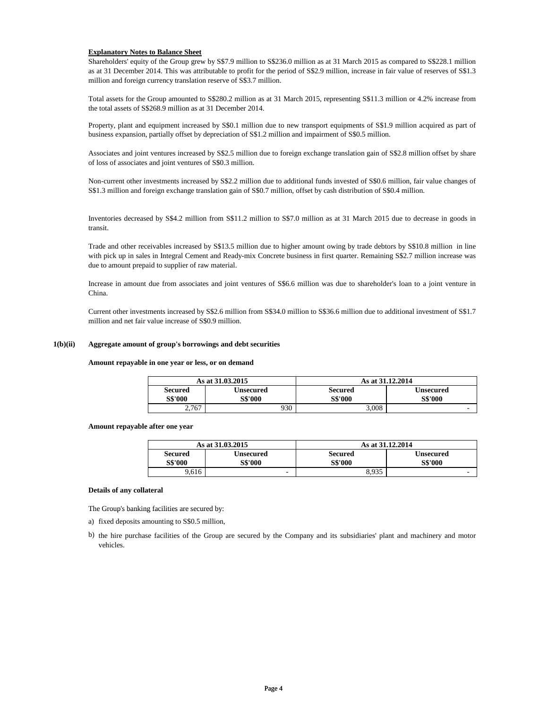# **Explanatory Notes to Balance Sheet**

Shareholders' equity of the Group grew by S\$7.9 million to S\$236.0 million as at 31 March 2015 as compared to S\$228.1 million as at 31 December 2014. This was attributable to profit for the period of S\$2.9 million, increase in fair value of reserves of S\$1.3 million and foreign currency translation reserve of S\$3.7 million.

Total assets for the Group amounted to S\$280.2 million as at 31 March 2015, representing S\$11.3 million or 4.2% increase from the total assets of S\$268.9 million as at 31 December 2014.

Property, plant and equipment increased by S\$0.1 million due to new transport equipments of S\$1.9 million acquired as part of business expansion, partially offset by depreciation of S\$1.2 million and impairment of S\$0.5 million.

Associates and joint ventures increased by S\$2.5 million due to foreign exchange translation gain of S\$2.8 million offset by share of loss of associates and joint ventures of S\$0.3 million.

Non-current other investments increased by S\$2.2 million due to additional funds invested of S\$0.6 million, fair value changes of S\$1.3 million and foreign exchange translation gain of S\$0.7 million, offset by cash distribution of S\$0.4 million.

Inventories decreased by S\$4.2 million from S\$11.2 million to S\$7.0 million as at 31 March 2015 due to decrease in goods in transit.

Trade and other receivables increased by S\$13.5 million due to higher amount owing by trade debtors by S\$10.8 million in line with pick up in sales in Integral Cement and Ready-mix Concrete business in first quarter. Remaining S\$2.7 million increase was due to amount prepaid to supplier of raw material.

Increase in amount due from associates and joint ventures of S\$6.6 million was due to shareholder's loan to a joint venture in China.

Current other investments increased by S\$2.6 million from S\$34.0 million to S\$36.6 million due to additional investment of S\$1.7 million and net fair value increase of S\$0.9 million.

## **1(b)(ii) Aggregate amount of group's borrowings and debt securities**

**Amount repayable in one year or less, or on demand**

|                |       | As at 31,03,2015 | As at 31.12.2014 |                          |
|----------------|-------|------------------|------------------|--------------------------|
| Secured        |       | Unsecured        | <b>Secured</b>   | <b>Unsecured</b>         |
| <b>S\$'000</b> |       | S\$'000          | <b>S\$'000</b>   | <b>S\$'000</b>           |
|                | 2,767 | 930              | 3,008            | $\overline{\phantom{a}}$ |

### **Amount repayable after one year**

|                | As at 31.03.2015 | As at 31.12.2014 |                |  |
|----------------|------------------|------------------|----------------|--|
| <b>Secured</b> | Unsecured        | Secured          | Unsecured      |  |
| S\$'000        | <b>S\$'000</b>   | <b>S\$'000</b>   | <b>S\$'000</b> |  |
| 9.616          | -                | 8.935            |                |  |

### **Details of any collateral**

The Group's banking facilities are secured by:

- a) fixed deposits amounting to S\$0.5 million,
- b) the hire purchase facilities of the Group are secured by the Company and its subsidiaries' plant and machinery and motor vehicles.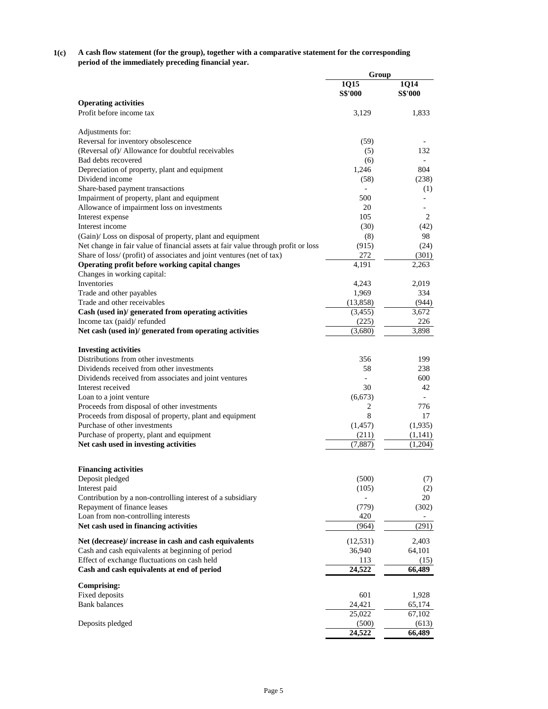#### **1(c) A cash flow statement (for the group), together with a comparative statement for the corresponding period of the immediately preceding financial year.**

| 1Q14<br>1Q15<br><b>S\$'000</b><br><b>S\$'000</b><br><b>Operating activities</b><br>Profit before income tax<br>1,833<br>3,129<br>Adjustments for:<br>Reversal for inventory obsolescence<br>(59)<br>(Reversal of)/ Allowance for doubtful receivables<br>(5)<br>132<br>Bad debts recovered<br>(6)<br>804<br>Depreciation of property, plant and equipment<br>1,246<br>Dividend income<br>(238)<br>(58)<br>Share-based payment transactions<br>(1)<br>$\overline{\phantom{a}}$<br>Impairment of property, plant and equipment<br>500<br>Allowance of impairment loss on investments<br>20<br>105<br>2<br>Interest expense<br>Interest income<br>(30)<br>(42)<br>(Gain)/ Loss on disposal of property, plant and equipment<br>98<br>(8)<br>Net change in fair value of financial assets at fair value through profit or loss<br>(915)<br>(24)<br>Share of loss/ (profit) of associates and joint ventures (net of tax)<br>272<br>(301)<br>Operating profit before working capital changes<br>4,191<br>2,263<br>Changes in working capital:<br>Inventories<br>4,243<br>2,019<br>334<br>Trade and other payables<br>1,969<br>Trade and other receivables<br>(944)<br>(13,858)<br>Cash (used in)/ generated from operating activities<br>(3,455)<br>3,672<br>Income tax (paid)/ refunded<br>226<br>(225)<br>Net cash (used in)/ generated from operating activities<br>(3,680)<br>3,898<br><b>Investing activities</b><br>Distributions from other investments<br>356<br>199<br>Dividends received from other investments<br>58<br>238<br>Dividends received from associates and joint ventures<br>600<br>Interest received<br>30<br>42<br>Loan to a joint venture<br>(6, 673)<br>Proceeds from disposal of other investments<br>2<br>776<br>8<br>Proceeds from disposal of property, plant and equipment<br>17<br>Purchase of other investments<br>(1,935)<br>(1, 457)<br>Purchase of property, plant and equipment<br>(211)<br>(1,141)<br>Net cash used in investing activities<br>(7,887)<br>(1,204)<br><b>Financing activities</b><br>(500)<br>Deposit pledged<br>(7)<br>Interest paid<br>(105)<br>(2)<br>20<br>Contribution by a non-controlling interest of a subsidiary<br>Repayment of finance leases<br>(779)<br>(302)<br>Loan from non-controlling interests<br>420<br>(291)<br>Net cash used in financing activities<br>(964)<br>(12, 531)<br>2,403<br>Net (decrease)/ increase in cash and cash equivalents<br>Cash and cash equivalents at beginning of period<br>36,940<br>64,101<br>Effect of exchange fluctuations on cash held<br>113<br>(15)<br>24,522<br>Cash and cash equivalents at end of period<br>66,489<br><b>Comprising:</b><br>Fixed deposits<br>601<br>1,928<br>24,421<br><b>Bank</b> balances<br>65,174<br>25,022<br>67,102<br>Deposits pledged<br>(500)<br>(613) | Group  |        |
|-------------------------------------------------------------------------------------------------------------------------------------------------------------------------------------------------------------------------------------------------------------------------------------------------------------------------------------------------------------------------------------------------------------------------------------------------------------------------------------------------------------------------------------------------------------------------------------------------------------------------------------------------------------------------------------------------------------------------------------------------------------------------------------------------------------------------------------------------------------------------------------------------------------------------------------------------------------------------------------------------------------------------------------------------------------------------------------------------------------------------------------------------------------------------------------------------------------------------------------------------------------------------------------------------------------------------------------------------------------------------------------------------------------------------------------------------------------------------------------------------------------------------------------------------------------------------------------------------------------------------------------------------------------------------------------------------------------------------------------------------------------------------------------------------------------------------------------------------------------------------------------------------------------------------------------------------------------------------------------------------------------------------------------------------------------------------------------------------------------------------------------------------------------------------------------------------------------------------------------------------------------------------------------------------------------------------------------------------------------------------------------------------------------------------------------------------------------------------------------------------------------------------------------------------------------------------------------------------------------------------------------------------------------------------------------------------------------------------------------------------------------------------------------------|--------|--------|
|                                                                                                                                                                                                                                                                                                                                                                                                                                                                                                                                                                                                                                                                                                                                                                                                                                                                                                                                                                                                                                                                                                                                                                                                                                                                                                                                                                                                                                                                                                                                                                                                                                                                                                                                                                                                                                                                                                                                                                                                                                                                                                                                                                                                                                                                                                                                                                                                                                                                                                                                                                                                                                                                                                                                                                                           |        |        |
|                                                                                                                                                                                                                                                                                                                                                                                                                                                                                                                                                                                                                                                                                                                                                                                                                                                                                                                                                                                                                                                                                                                                                                                                                                                                                                                                                                                                                                                                                                                                                                                                                                                                                                                                                                                                                                                                                                                                                                                                                                                                                                                                                                                                                                                                                                                                                                                                                                                                                                                                                                                                                                                                                                                                                                                           |        |        |
|                                                                                                                                                                                                                                                                                                                                                                                                                                                                                                                                                                                                                                                                                                                                                                                                                                                                                                                                                                                                                                                                                                                                                                                                                                                                                                                                                                                                                                                                                                                                                                                                                                                                                                                                                                                                                                                                                                                                                                                                                                                                                                                                                                                                                                                                                                                                                                                                                                                                                                                                                                                                                                                                                                                                                                                           |        |        |
|                                                                                                                                                                                                                                                                                                                                                                                                                                                                                                                                                                                                                                                                                                                                                                                                                                                                                                                                                                                                                                                                                                                                                                                                                                                                                                                                                                                                                                                                                                                                                                                                                                                                                                                                                                                                                                                                                                                                                                                                                                                                                                                                                                                                                                                                                                                                                                                                                                                                                                                                                                                                                                                                                                                                                                                           |        |        |
|                                                                                                                                                                                                                                                                                                                                                                                                                                                                                                                                                                                                                                                                                                                                                                                                                                                                                                                                                                                                                                                                                                                                                                                                                                                                                                                                                                                                                                                                                                                                                                                                                                                                                                                                                                                                                                                                                                                                                                                                                                                                                                                                                                                                                                                                                                                                                                                                                                                                                                                                                                                                                                                                                                                                                                                           |        |        |
|                                                                                                                                                                                                                                                                                                                                                                                                                                                                                                                                                                                                                                                                                                                                                                                                                                                                                                                                                                                                                                                                                                                                                                                                                                                                                                                                                                                                                                                                                                                                                                                                                                                                                                                                                                                                                                                                                                                                                                                                                                                                                                                                                                                                                                                                                                                                                                                                                                                                                                                                                                                                                                                                                                                                                                                           |        |        |
|                                                                                                                                                                                                                                                                                                                                                                                                                                                                                                                                                                                                                                                                                                                                                                                                                                                                                                                                                                                                                                                                                                                                                                                                                                                                                                                                                                                                                                                                                                                                                                                                                                                                                                                                                                                                                                                                                                                                                                                                                                                                                                                                                                                                                                                                                                                                                                                                                                                                                                                                                                                                                                                                                                                                                                                           |        |        |
|                                                                                                                                                                                                                                                                                                                                                                                                                                                                                                                                                                                                                                                                                                                                                                                                                                                                                                                                                                                                                                                                                                                                                                                                                                                                                                                                                                                                                                                                                                                                                                                                                                                                                                                                                                                                                                                                                                                                                                                                                                                                                                                                                                                                                                                                                                                                                                                                                                                                                                                                                                                                                                                                                                                                                                                           |        |        |
|                                                                                                                                                                                                                                                                                                                                                                                                                                                                                                                                                                                                                                                                                                                                                                                                                                                                                                                                                                                                                                                                                                                                                                                                                                                                                                                                                                                                                                                                                                                                                                                                                                                                                                                                                                                                                                                                                                                                                                                                                                                                                                                                                                                                                                                                                                                                                                                                                                                                                                                                                                                                                                                                                                                                                                                           |        |        |
|                                                                                                                                                                                                                                                                                                                                                                                                                                                                                                                                                                                                                                                                                                                                                                                                                                                                                                                                                                                                                                                                                                                                                                                                                                                                                                                                                                                                                                                                                                                                                                                                                                                                                                                                                                                                                                                                                                                                                                                                                                                                                                                                                                                                                                                                                                                                                                                                                                                                                                                                                                                                                                                                                                                                                                                           |        |        |
|                                                                                                                                                                                                                                                                                                                                                                                                                                                                                                                                                                                                                                                                                                                                                                                                                                                                                                                                                                                                                                                                                                                                                                                                                                                                                                                                                                                                                                                                                                                                                                                                                                                                                                                                                                                                                                                                                                                                                                                                                                                                                                                                                                                                                                                                                                                                                                                                                                                                                                                                                                                                                                                                                                                                                                                           |        |        |
|                                                                                                                                                                                                                                                                                                                                                                                                                                                                                                                                                                                                                                                                                                                                                                                                                                                                                                                                                                                                                                                                                                                                                                                                                                                                                                                                                                                                                                                                                                                                                                                                                                                                                                                                                                                                                                                                                                                                                                                                                                                                                                                                                                                                                                                                                                                                                                                                                                                                                                                                                                                                                                                                                                                                                                                           |        |        |
|                                                                                                                                                                                                                                                                                                                                                                                                                                                                                                                                                                                                                                                                                                                                                                                                                                                                                                                                                                                                                                                                                                                                                                                                                                                                                                                                                                                                                                                                                                                                                                                                                                                                                                                                                                                                                                                                                                                                                                                                                                                                                                                                                                                                                                                                                                                                                                                                                                                                                                                                                                                                                                                                                                                                                                                           |        |        |
|                                                                                                                                                                                                                                                                                                                                                                                                                                                                                                                                                                                                                                                                                                                                                                                                                                                                                                                                                                                                                                                                                                                                                                                                                                                                                                                                                                                                                                                                                                                                                                                                                                                                                                                                                                                                                                                                                                                                                                                                                                                                                                                                                                                                                                                                                                                                                                                                                                                                                                                                                                                                                                                                                                                                                                                           |        |        |
|                                                                                                                                                                                                                                                                                                                                                                                                                                                                                                                                                                                                                                                                                                                                                                                                                                                                                                                                                                                                                                                                                                                                                                                                                                                                                                                                                                                                                                                                                                                                                                                                                                                                                                                                                                                                                                                                                                                                                                                                                                                                                                                                                                                                                                                                                                                                                                                                                                                                                                                                                                                                                                                                                                                                                                                           |        |        |
|                                                                                                                                                                                                                                                                                                                                                                                                                                                                                                                                                                                                                                                                                                                                                                                                                                                                                                                                                                                                                                                                                                                                                                                                                                                                                                                                                                                                                                                                                                                                                                                                                                                                                                                                                                                                                                                                                                                                                                                                                                                                                                                                                                                                                                                                                                                                                                                                                                                                                                                                                                                                                                                                                                                                                                                           |        |        |
|                                                                                                                                                                                                                                                                                                                                                                                                                                                                                                                                                                                                                                                                                                                                                                                                                                                                                                                                                                                                                                                                                                                                                                                                                                                                                                                                                                                                                                                                                                                                                                                                                                                                                                                                                                                                                                                                                                                                                                                                                                                                                                                                                                                                                                                                                                                                                                                                                                                                                                                                                                                                                                                                                                                                                                                           |        |        |
|                                                                                                                                                                                                                                                                                                                                                                                                                                                                                                                                                                                                                                                                                                                                                                                                                                                                                                                                                                                                                                                                                                                                                                                                                                                                                                                                                                                                                                                                                                                                                                                                                                                                                                                                                                                                                                                                                                                                                                                                                                                                                                                                                                                                                                                                                                                                                                                                                                                                                                                                                                                                                                                                                                                                                                                           |        |        |
|                                                                                                                                                                                                                                                                                                                                                                                                                                                                                                                                                                                                                                                                                                                                                                                                                                                                                                                                                                                                                                                                                                                                                                                                                                                                                                                                                                                                                                                                                                                                                                                                                                                                                                                                                                                                                                                                                                                                                                                                                                                                                                                                                                                                                                                                                                                                                                                                                                                                                                                                                                                                                                                                                                                                                                                           |        |        |
|                                                                                                                                                                                                                                                                                                                                                                                                                                                                                                                                                                                                                                                                                                                                                                                                                                                                                                                                                                                                                                                                                                                                                                                                                                                                                                                                                                                                                                                                                                                                                                                                                                                                                                                                                                                                                                                                                                                                                                                                                                                                                                                                                                                                                                                                                                                                                                                                                                                                                                                                                                                                                                                                                                                                                                                           |        |        |
|                                                                                                                                                                                                                                                                                                                                                                                                                                                                                                                                                                                                                                                                                                                                                                                                                                                                                                                                                                                                                                                                                                                                                                                                                                                                                                                                                                                                                                                                                                                                                                                                                                                                                                                                                                                                                                                                                                                                                                                                                                                                                                                                                                                                                                                                                                                                                                                                                                                                                                                                                                                                                                                                                                                                                                                           |        |        |
|                                                                                                                                                                                                                                                                                                                                                                                                                                                                                                                                                                                                                                                                                                                                                                                                                                                                                                                                                                                                                                                                                                                                                                                                                                                                                                                                                                                                                                                                                                                                                                                                                                                                                                                                                                                                                                                                                                                                                                                                                                                                                                                                                                                                                                                                                                                                                                                                                                                                                                                                                                                                                                                                                                                                                                                           |        |        |
|                                                                                                                                                                                                                                                                                                                                                                                                                                                                                                                                                                                                                                                                                                                                                                                                                                                                                                                                                                                                                                                                                                                                                                                                                                                                                                                                                                                                                                                                                                                                                                                                                                                                                                                                                                                                                                                                                                                                                                                                                                                                                                                                                                                                                                                                                                                                                                                                                                                                                                                                                                                                                                                                                                                                                                                           |        |        |
|                                                                                                                                                                                                                                                                                                                                                                                                                                                                                                                                                                                                                                                                                                                                                                                                                                                                                                                                                                                                                                                                                                                                                                                                                                                                                                                                                                                                                                                                                                                                                                                                                                                                                                                                                                                                                                                                                                                                                                                                                                                                                                                                                                                                                                                                                                                                                                                                                                                                                                                                                                                                                                                                                                                                                                                           |        |        |
|                                                                                                                                                                                                                                                                                                                                                                                                                                                                                                                                                                                                                                                                                                                                                                                                                                                                                                                                                                                                                                                                                                                                                                                                                                                                                                                                                                                                                                                                                                                                                                                                                                                                                                                                                                                                                                                                                                                                                                                                                                                                                                                                                                                                                                                                                                                                                                                                                                                                                                                                                                                                                                                                                                                                                                                           |        |        |
|                                                                                                                                                                                                                                                                                                                                                                                                                                                                                                                                                                                                                                                                                                                                                                                                                                                                                                                                                                                                                                                                                                                                                                                                                                                                                                                                                                                                                                                                                                                                                                                                                                                                                                                                                                                                                                                                                                                                                                                                                                                                                                                                                                                                                                                                                                                                                                                                                                                                                                                                                                                                                                                                                                                                                                                           |        |        |
|                                                                                                                                                                                                                                                                                                                                                                                                                                                                                                                                                                                                                                                                                                                                                                                                                                                                                                                                                                                                                                                                                                                                                                                                                                                                                                                                                                                                                                                                                                                                                                                                                                                                                                                                                                                                                                                                                                                                                                                                                                                                                                                                                                                                                                                                                                                                                                                                                                                                                                                                                                                                                                                                                                                                                                                           |        |        |
|                                                                                                                                                                                                                                                                                                                                                                                                                                                                                                                                                                                                                                                                                                                                                                                                                                                                                                                                                                                                                                                                                                                                                                                                                                                                                                                                                                                                                                                                                                                                                                                                                                                                                                                                                                                                                                                                                                                                                                                                                                                                                                                                                                                                                                                                                                                                                                                                                                                                                                                                                                                                                                                                                                                                                                                           |        |        |
|                                                                                                                                                                                                                                                                                                                                                                                                                                                                                                                                                                                                                                                                                                                                                                                                                                                                                                                                                                                                                                                                                                                                                                                                                                                                                                                                                                                                                                                                                                                                                                                                                                                                                                                                                                                                                                                                                                                                                                                                                                                                                                                                                                                                                                                                                                                                                                                                                                                                                                                                                                                                                                                                                                                                                                                           |        |        |
|                                                                                                                                                                                                                                                                                                                                                                                                                                                                                                                                                                                                                                                                                                                                                                                                                                                                                                                                                                                                                                                                                                                                                                                                                                                                                                                                                                                                                                                                                                                                                                                                                                                                                                                                                                                                                                                                                                                                                                                                                                                                                                                                                                                                                                                                                                                                                                                                                                                                                                                                                                                                                                                                                                                                                                                           |        |        |
|                                                                                                                                                                                                                                                                                                                                                                                                                                                                                                                                                                                                                                                                                                                                                                                                                                                                                                                                                                                                                                                                                                                                                                                                                                                                                                                                                                                                                                                                                                                                                                                                                                                                                                                                                                                                                                                                                                                                                                                                                                                                                                                                                                                                                                                                                                                                                                                                                                                                                                                                                                                                                                                                                                                                                                                           |        |        |
|                                                                                                                                                                                                                                                                                                                                                                                                                                                                                                                                                                                                                                                                                                                                                                                                                                                                                                                                                                                                                                                                                                                                                                                                                                                                                                                                                                                                                                                                                                                                                                                                                                                                                                                                                                                                                                                                                                                                                                                                                                                                                                                                                                                                                                                                                                                                                                                                                                                                                                                                                                                                                                                                                                                                                                                           |        |        |
|                                                                                                                                                                                                                                                                                                                                                                                                                                                                                                                                                                                                                                                                                                                                                                                                                                                                                                                                                                                                                                                                                                                                                                                                                                                                                                                                                                                                                                                                                                                                                                                                                                                                                                                                                                                                                                                                                                                                                                                                                                                                                                                                                                                                                                                                                                                                                                                                                                                                                                                                                                                                                                                                                                                                                                                           |        |        |
|                                                                                                                                                                                                                                                                                                                                                                                                                                                                                                                                                                                                                                                                                                                                                                                                                                                                                                                                                                                                                                                                                                                                                                                                                                                                                                                                                                                                                                                                                                                                                                                                                                                                                                                                                                                                                                                                                                                                                                                                                                                                                                                                                                                                                                                                                                                                                                                                                                                                                                                                                                                                                                                                                                                                                                                           |        |        |
|                                                                                                                                                                                                                                                                                                                                                                                                                                                                                                                                                                                                                                                                                                                                                                                                                                                                                                                                                                                                                                                                                                                                                                                                                                                                                                                                                                                                                                                                                                                                                                                                                                                                                                                                                                                                                                                                                                                                                                                                                                                                                                                                                                                                                                                                                                                                                                                                                                                                                                                                                                                                                                                                                                                                                                                           |        |        |
|                                                                                                                                                                                                                                                                                                                                                                                                                                                                                                                                                                                                                                                                                                                                                                                                                                                                                                                                                                                                                                                                                                                                                                                                                                                                                                                                                                                                                                                                                                                                                                                                                                                                                                                                                                                                                                                                                                                                                                                                                                                                                                                                                                                                                                                                                                                                                                                                                                                                                                                                                                                                                                                                                                                                                                                           |        |        |
|                                                                                                                                                                                                                                                                                                                                                                                                                                                                                                                                                                                                                                                                                                                                                                                                                                                                                                                                                                                                                                                                                                                                                                                                                                                                                                                                                                                                                                                                                                                                                                                                                                                                                                                                                                                                                                                                                                                                                                                                                                                                                                                                                                                                                                                                                                                                                                                                                                                                                                                                                                                                                                                                                                                                                                                           |        |        |
|                                                                                                                                                                                                                                                                                                                                                                                                                                                                                                                                                                                                                                                                                                                                                                                                                                                                                                                                                                                                                                                                                                                                                                                                                                                                                                                                                                                                                                                                                                                                                                                                                                                                                                                                                                                                                                                                                                                                                                                                                                                                                                                                                                                                                                                                                                                                                                                                                                                                                                                                                                                                                                                                                                                                                                                           |        |        |
|                                                                                                                                                                                                                                                                                                                                                                                                                                                                                                                                                                                                                                                                                                                                                                                                                                                                                                                                                                                                                                                                                                                                                                                                                                                                                                                                                                                                                                                                                                                                                                                                                                                                                                                                                                                                                                                                                                                                                                                                                                                                                                                                                                                                                                                                                                                                                                                                                                                                                                                                                                                                                                                                                                                                                                                           |        |        |
|                                                                                                                                                                                                                                                                                                                                                                                                                                                                                                                                                                                                                                                                                                                                                                                                                                                                                                                                                                                                                                                                                                                                                                                                                                                                                                                                                                                                                                                                                                                                                                                                                                                                                                                                                                                                                                                                                                                                                                                                                                                                                                                                                                                                                                                                                                                                                                                                                                                                                                                                                                                                                                                                                                                                                                                           |        |        |
|                                                                                                                                                                                                                                                                                                                                                                                                                                                                                                                                                                                                                                                                                                                                                                                                                                                                                                                                                                                                                                                                                                                                                                                                                                                                                                                                                                                                                                                                                                                                                                                                                                                                                                                                                                                                                                                                                                                                                                                                                                                                                                                                                                                                                                                                                                                                                                                                                                                                                                                                                                                                                                                                                                                                                                                           |        |        |
|                                                                                                                                                                                                                                                                                                                                                                                                                                                                                                                                                                                                                                                                                                                                                                                                                                                                                                                                                                                                                                                                                                                                                                                                                                                                                                                                                                                                                                                                                                                                                                                                                                                                                                                                                                                                                                                                                                                                                                                                                                                                                                                                                                                                                                                                                                                                                                                                                                                                                                                                                                                                                                                                                                                                                                                           |        |        |
|                                                                                                                                                                                                                                                                                                                                                                                                                                                                                                                                                                                                                                                                                                                                                                                                                                                                                                                                                                                                                                                                                                                                                                                                                                                                                                                                                                                                                                                                                                                                                                                                                                                                                                                                                                                                                                                                                                                                                                                                                                                                                                                                                                                                                                                                                                                                                                                                                                                                                                                                                                                                                                                                                                                                                                                           |        |        |
|                                                                                                                                                                                                                                                                                                                                                                                                                                                                                                                                                                                                                                                                                                                                                                                                                                                                                                                                                                                                                                                                                                                                                                                                                                                                                                                                                                                                                                                                                                                                                                                                                                                                                                                                                                                                                                                                                                                                                                                                                                                                                                                                                                                                                                                                                                                                                                                                                                                                                                                                                                                                                                                                                                                                                                                           |        |        |
|                                                                                                                                                                                                                                                                                                                                                                                                                                                                                                                                                                                                                                                                                                                                                                                                                                                                                                                                                                                                                                                                                                                                                                                                                                                                                                                                                                                                                                                                                                                                                                                                                                                                                                                                                                                                                                                                                                                                                                                                                                                                                                                                                                                                                                                                                                                                                                                                                                                                                                                                                                                                                                                                                                                                                                                           |        |        |
|                                                                                                                                                                                                                                                                                                                                                                                                                                                                                                                                                                                                                                                                                                                                                                                                                                                                                                                                                                                                                                                                                                                                                                                                                                                                                                                                                                                                                                                                                                                                                                                                                                                                                                                                                                                                                                                                                                                                                                                                                                                                                                                                                                                                                                                                                                                                                                                                                                                                                                                                                                                                                                                                                                                                                                                           |        |        |
|                                                                                                                                                                                                                                                                                                                                                                                                                                                                                                                                                                                                                                                                                                                                                                                                                                                                                                                                                                                                                                                                                                                                                                                                                                                                                                                                                                                                                                                                                                                                                                                                                                                                                                                                                                                                                                                                                                                                                                                                                                                                                                                                                                                                                                                                                                                                                                                                                                                                                                                                                                                                                                                                                                                                                                                           |        |        |
|                                                                                                                                                                                                                                                                                                                                                                                                                                                                                                                                                                                                                                                                                                                                                                                                                                                                                                                                                                                                                                                                                                                                                                                                                                                                                                                                                                                                                                                                                                                                                                                                                                                                                                                                                                                                                                                                                                                                                                                                                                                                                                                                                                                                                                                                                                                                                                                                                                                                                                                                                                                                                                                                                                                                                                                           |        |        |
|                                                                                                                                                                                                                                                                                                                                                                                                                                                                                                                                                                                                                                                                                                                                                                                                                                                                                                                                                                                                                                                                                                                                                                                                                                                                                                                                                                                                                                                                                                                                                                                                                                                                                                                                                                                                                                                                                                                                                                                                                                                                                                                                                                                                                                                                                                                                                                                                                                                                                                                                                                                                                                                                                                                                                                                           |        |        |
|                                                                                                                                                                                                                                                                                                                                                                                                                                                                                                                                                                                                                                                                                                                                                                                                                                                                                                                                                                                                                                                                                                                                                                                                                                                                                                                                                                                                                                                                                                                                                                                                                                                                                                                                                                                                                                                                                                                                                                                                                                                                                                                                                                                                                                                                                                                                                                                                                                                                                                                                                                                                                                                                                                                                                                                           |        |        |
|                                                                                                                                                                                                                                                                                                                                                                                                                                                                                                                                                                                                                                                                                                                                                                                                                                                                                                                                                                                                                                                                                                                                                                                                                                                                                                                                                                                                                                                                                                                                                                                                                                                                                                                                                                                                                                                                                                                                                                                                                                                                                                                                                                                                                                                                                                                                                                                                                                                                                                                                                                                                                                                                                                                                                                                           | 24,522 | 66,489 |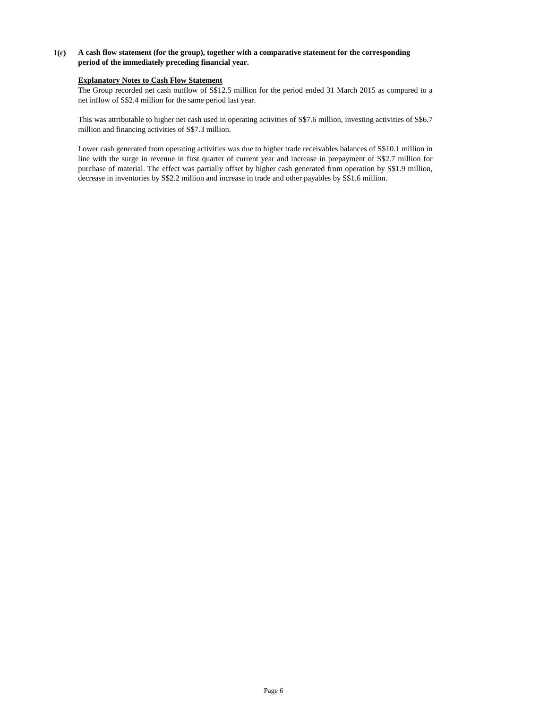# **1(c) A cash flow statement (for the group), together with a comparative statement for the corresponding period of the immediately preceding financial year.**

# **Explanatory Notes to Cash Flow Statement**

The Group recorded net cash outflow of S\$12.5 million for the period ended 31 March 2015 as compared to a net inflow of S\$2.4 million for the same period last year.

This was attributable to higher net cash used in operating activities of S\$7.6 million, investing activities of S\$6.7 million and financing activities of S\$7.3 million.

Lower cash generated from operating activities was due to higher trade receivables balances of S\$10.1 million in line with the surge in revenue in first quarter of current year and increase in prepayment of S\$2.7 million for purchase of material. The effect was partially offset by higher cash generated from operation by S\$1.9 million, decrease in inventories by S\$2.2 million and increase in trade and other payables by S\$1.6 million.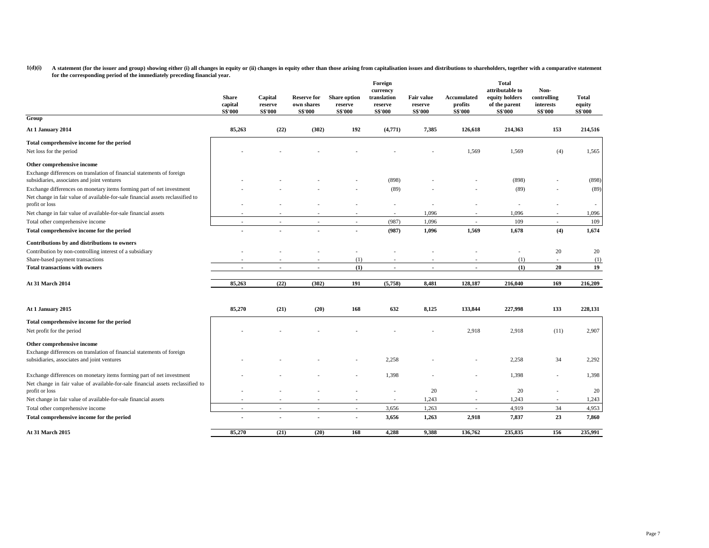1(d)(i) A statement (for the issuer and group) showing either (i) all changes in equity or (ii) changes in equity or than those arising from capitalisation issues and distributions to shareholders, together with a comparat **for the corresponding period of the immediately preceding financial year.**

|                                                                                                                                                          | Share<br>capital<br><b>S\$'000</b> | Capital<br>reserve<br><b>S\$'000</b> | Reserve for<br>own shares<br><b>S\$'000</b> | <b>Share option</b><br>reserve<br><b>S\$'000</b> | Foreign<br>currency<br>translation<br>reserve<br><b>S\$'000</b> | <b>Fair value</b><br>reserve<br><b>S\$'000</b> | Accumulated<br>profits<br><b>S\$'000</b> | Total<br>attributable to<br>equity holders<br>of the parent<br><b>S\$'000</b> | Non-<br>controlling<br>interests<br><b>S\$'000</b> | <b>Total</b><br>equity<br><b>S\$'000</b> |
|----------------------------------------------------------------------------------------------------------------------------------------------------------|------------------------------------|--------------------------------------|---------------------------------------------|--------------------------------------------------|-----------------------------------------------------------------|------------------------------------------------|------------------------------------------|-------------------------------------------------------------------------------|----------------------------------------------------|------------------------------------------|
| Group                                                                                                                                                    |                                    |                                      |                                             |                                                  |                                                                 |                                                |                                          |                                                                               |                                                    |                                          |
| At 1 January 2014                                                                                                                                        | 85,263                             | (22)                                 | (302)                                       | 192                                              | (4,771)                                                         | 7,385                                          | 126,618                                  | 214,363                                                                       | 153                                                | 214,516                                  |
| Total comprehensive income for the period                                                                                                                |                                    |                                      |                                             |                                                  |                                                                 |                                                |                                          |                                                                               |                                                    |                                          |
| Net loss for the period                                                                                                                                  |                                    |                                      |                                             |                                                  |                                                                 |                                                | 1,569                                    | 1,569                                                                         | (4)                                                | 1,565                                    |
| Other comprehensive income                                                                                                                               |                                    |                                      |                                             |                                                  |                                                                 |                                                |                                          |                                                                               |                                                    |                                          |
| Exchange differences on translation of financial statements of foreign                                                                                   |                                    |                                      |                                             |                                                  |                                                                 |                                                |                                          |                                                                               |                                                    |                                          |
| subsidiaries, associates and joint ventures                                                                                                              |                                    |                                      |                                             |                                                  | (898)                                                           |                                                |                                          | (898)                                                                         |                                                    | (898)                                    |
| Exchange differences on monetary items forming part of net investment<br>Net change in fair value of available-for-sale financial assets reclassified to |                                    |                                      |                                             |                                                  | (89)                                                            |                                                |                                          | (89)                                                                          |                                                    | (89)                                     |
| profit or loss                                                                                                                                           |                                    |                                      |                                             |                                                  |                                                                 |                                                |                                          |                                                                               |                                                    |                                          |
| Net change in fair value of available-for-sale financial assets                                                                                          |                                    |                                      |                                             |                                                  |                                                                 | 1,096                                          |                                          | 1,096                                                                         |                                                    | 1,096                                    |
| Total other comprehensive income                                                                                                                         | ×.                                 | $\sim$                               | $\mathcal{L}_{\mathcal{A}}$                 | $\sim$                                           | (987)                                                           | 1,096                                          | $\sim$                                   | 109                                                                           | $\sim$                                             | 109                                      |
| Total comprehensive income for the period                                                                                                                |                                    |                                      | $\overline{a}$                              | $\blacksquare$                                   | (987)                                                           | 1,096                                          | 1,569                                    | 1,678                                                                         | (4)                                                | 1,674                                    |
| Contributions by and distributions to owners                                                                                                             |                                    |                                      |                                             |                                                  |                                                                 |                                                |                                          |                                                                               |                                                    |                                          |
| Contribution by non-controlling interest of a subsidiary                                                                                                 |                                    |                                      |                                             |                                                  |                                                                 |                                                |                                          |                                                                               | 20                                                 | 20                                       |
| Share-based payment transactions                                                                                                                         |                                    |                                      |                                             | (1)                                              |                                                                 |                                                |                                          | (1)                                                                           | $\sim$                                             | (1)                                      |
| <b>Total transactions with owners</b>                                                                                                                    | $\blacksquare$                     | $\blacksquare$                       | $\blacksquare$                              | (1)                                              | $\overline{\phantom{a}}$                                        | $\overline{\phantom{a}}$                       | $\blacksquare$                           | (1)                                                                           | 20                                                 | 19                                       |
| <b>At 31 March 2014</b>                                                                                                                                  | 85,263                             | (22)                                 | (302)                                       | 191                                              | (5,758)                                                         | 8,481                                          | 128,187                                  | 216,040                                                                       | 169                                                | 216,209                                  |
| At 1 January 2015                                                                                                                                        | 85,270                             | (21)                                 | (20)                                        | 168                                              | 632                                                             | 8,125                                          | 133,844                                  | 227,998                                                                       | 133                                                | 228,131                                  |
| Total comprehensive income for the period                                                                                                                |                                    |                                      |                                             |                                                  |                                                                 |                                                |                                          |                                                                               |                                                    |                                          |
| Net profit for the period                                                                                                                                |                                    |                                      |                                             |                                                  |                                                                 |                                                | 2,918                                    | 2,918                                                                         | (11)                                               | 2,907                                    |
| Other comprehensive income                                                                                                                               |                                    |                                      |                                             |                                                  |                                                                 |                                                |                                          |                                                                               |                                                    |                                          |
| Exchange differences on translation of financial statements of foreign<br>subsidiaries, associates and joint ventures                                    |                                    |                                      |                                             |                                                  | 2,258                                                           |                                                |                                          | 2,258                                                                         | 34                                                 | 2,292                                    |
| Exchange differences on monetary items forming part of net investment                                                                                    |                                    |                                      |                                             |                                                  | 1,398                                                           |                                                |                                          | 1,398                                                                         |                                                    | 1,398                                    |
| Net change in fair value of available-for-sale financial assets reclassified to<br>profit or loss                                                        |                                    |                                      |                                             |                                                  |                                                                 | 20                                             |                                          | 20                                                                            |                                                    | 20                                       |
| Net change in fair value of available-for-sale financial assets                                                                                          |                                    |                                      |                                             |                                                  |                                                                 | 1,243                                          |                                          | 1,243                                                                         |                                                    | 1,243                                    |
| Total other comprehensive income                                                                                                                         | ÷                                  | ä,                                   | $\overline{\phantom{a}}$                    | $\sim$                                           | 3,656                                                           | 1,263                                          |                                          | 4,919                                                                         | 34                                                 | 4,953                                    |
| Total comprehensive income for the period                                                                                                                |                                    |                                      |                                             |                                                  | 3,656                                                           | 1,263                                          | 2,918                                    | 7,837                                                                         | 23                                                 | 7,860                                    |
| At 31 March 2015                                                                                                                                         | 85,270                             | (21)                                 | (20)                                        | 168                                              | 4,288                                                           | 9,388                                          | 136,762                                  | 235,835                                                                       | 156                                                | 235,991                                  |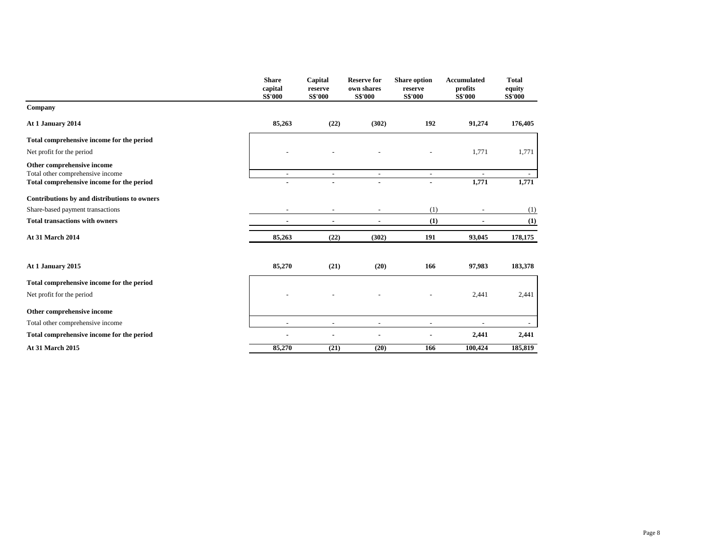|                                              | <b>Share</b><br>capital<br><b>S\$'000</b> | Capital<br>reserve<br><b>S\$'000</b> | <b>Reserve for</b><br>own shares<br><b>S\$'000</b> | <b>Share option</b><br>reserve<br><b>S\$'000</b> | <b>Accumulated</b><br>profits<br><b>S\$'000</b> | <b>Total</b><br>equity<br><b>S\$'000</b> |
|----------------------------------------------|-------------------------------------------|--------------------------------------|----------------------------------------------------|--------------------------------------------------|-------------------------------------------------|------------------------------------------|
| Company                                      |                                           |                                      |                                                    |                                                  |                                                 |                                          |
| At 1 January 2014                            | 85,263                                    | (22)                                 | (302)                                              | 192                                              | 91,274                                          | 176,405                                  |
| Total comprehensive income for the period    |                                           |                                      |                                                    |                                                  |                                                 |                                          |
| Net profit for the period                    |                                           |                                      |                                                    |                                                  | 1,771                                           | 1,771                                    |
| Other comprehensive income                   |                                           |                                      |                                                    |                                                  |                                                 |                                          |
| Total other comprehensive income             | $\overline{\phantom{a}}$                  | $\overline{\phantom{a}}$             | $\sim$                                             | $\overline{\phantom{a}}$                         | $\blacksquare$                                  |                                          |
| Total comprehensive income for the period    |                                           |                                      |                                                    |                                                  | 1,771                                           | 1,771                                    |
| Contributions by and distributions to owners |                                           |                                      |                                                    |                                                  |                                                 |                                          |
| Share-based payment transactions             |                                           |                                      |                                                    | (1)                                              |                                                 | (1)                                      |
| <b>Total transactions with owners</b>        | ٠                                         | ٠                                    | ٠                                                  | (1)                                              |                                                 | (1)                                      |
| <b>At 31 March 2014</b>                      | 85,263                                    | (22)                                 | (302)                                              | 191                                              | 93,045                                          | 178,175                                  |
| At 1 January 2015                            | 85,270                                    | (21)                                 | (20)                                               | 166                                              | 97,983                                          | 183,378                                  |
| Total comprehensive income for the period    |                                           |                                      |                                                    |                                                  |                                                 |                                          |
| Net profit for the period                    |                                           |                                      |                                                    |                                                  | 2,441                                           | 2,441                                    |
| Other comprehensive income                   |                                           |                                      |                                                    |                                                  |                                                 |                                          |
| Total other comprehensive income             | $\overline{\phantom{a}}$                  |                                      |                                                    | $\overline{\phantom{a}}$                         |                                                 |                                          |
| Total comprehensive income for the period    |                                           |                                      |                                                    |                                                  | 2,441                                           | 2,441                                    |
| <b>At 31 March 2015</b>                      | 85,270                                    | (21)                                 | (20)                                               | 166                                              | 100,424                                         | 185,819                                  |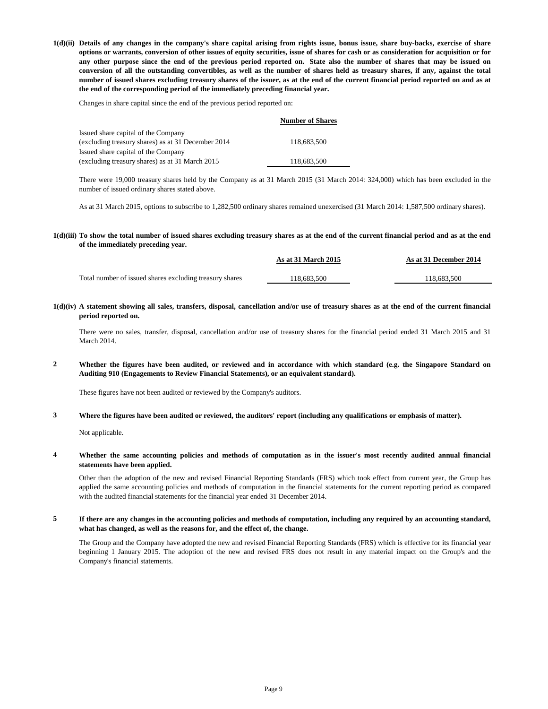1(d)(ii) Details of any changes in the company's share capital arising from rights issue, bonus issue, share buy-backs, exercise of share options or warrants, conversion of other issues of equity securities, issue of shares for cash or as consideration for acquisition or for any other purpose since the end of the previous period reported on. State also the number of shares that may be issued on conversion of all the outstanding convertibles, as well as the number of shares held as treasury shares, if any, against the total number of issued shares excluding treasury shares of the issuer, as at the end of the current financial period reported on and as at **the end of the corresponding period of the immediately preceding financial year.**

Changes in share capital since the end of the previous period reported on:

|                                                    | <b>Number of Shares</b> |
|----------------------------------------------------|-------------------------|
| Issued share capital of the Company                |                         |
| (excluding treasury shares) as at 31 December 2014 | 118.683.500             |
| Issued share capital of the Company                |                         |
| (excluding treasury shares) as at 31 March 2015    | 118,683,500             |

There were 19,000 treasury shares held by the Company as at 31 March 2015 (31 March 2014: 324,000) which has been excluded in the number of issued ordinary shares stated above.

As at 31 March 2015, options to subscribe to 1,282,500 ordinary shares remained unexercised (31 March 2014: 1,587,500 ordinary shares).

1(d)(iii) To show the total number of issued shares excluding treasury shares as at the end of the current financial period and as at the end **of the immediately preceding year.**

|                                                         | As at 31 March 2015 | As at 31 December 2014 |
|---------------------------------------------------------|---------------------|------------------------|
| Total number of issued shares excluding treasury shares | 118.683.500         | 118.683.500            |

1(d)(iv) A statement showing all sales, transfers, disposal, cancellation and/or use of treasury shares as at the end of the current financial **period reported on.**

There were no sales, transfer, disposal, cancellation and/or use of treasury shares for the financial period ended 31 March 2015 and 31 March 2014.

**2** Whether the figures have been audited, or reviewed and in accordance with which standard (e.g. the Singapore Standard on **Auditing 910 (Engagements to Review Financial Statements), or an equivalent standard).**

These figures have not been audited or reviewed by the Company's auditors.

**3 Where the figures have been audited or reviewed, the auditors' report (including any qualifications or emphasis of matter).**

Not applicable.

**4** Whether the same accounting policies and methods of computation as in the issuer's most recently audited annual financial **statements have been applied.**

Other than the adoption of the new and revised Financial Reporting Standards (FRS) which took effect from current year, the Group has applied the same accounting policies and methods of computation in the financial statements for the current reporting period as compared with the audited financial statements for the financial year ended 31 December 2014.

**5** If there are any changes in the accounting policies and methods of computation, including any required by an accounting standard, **what has changed, as well as the reasons for, and the effect of, the change.**

The Group and the Company have adopted the new and revised Financial Reporting Standards (FRS) which is effective for its financial year beginning 1 January 2015. The adoption of the new and revised FRS does not result in any material impact on the Group's and the Company's financial statements.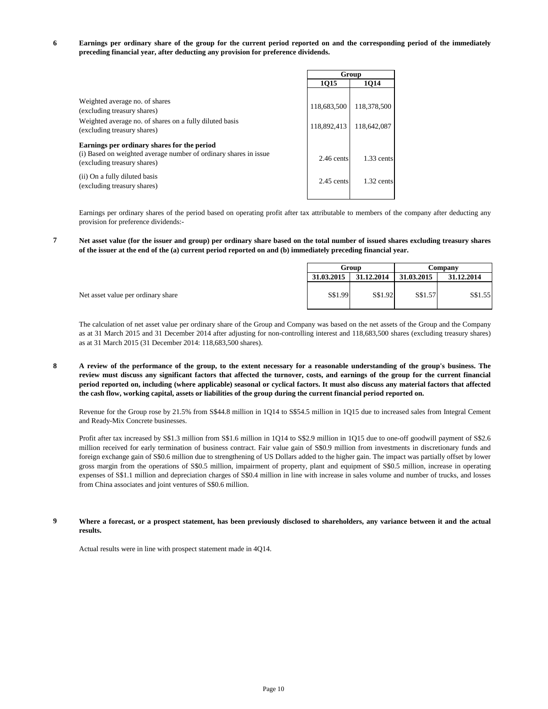**6** Earnings per ordinary share of the group for the current period reported on and the corresponding period of the immediately **preceding financial year, after deducting any provision for preference dividends.**

|                                                                                                                                                         |                            | Group                      |
|---------------------------------------------------------------------------------------------------------------------------------------------------------|----------------------------|----------------------------|
|                                                                                                                                                         | 1Q15                       | 1014                       |
| Weighted average no. of shares<br>(excluding treasury shares)<br>Weighted average no. of shares on a fully diluted basis<br>(excluding treasury shares) | 118,683,500<br>118.892.413 | 118,378,500<br>118.642.087 |
| Earnings per ordinary shares for the period<br>(i) Based on weighted average number of ordinary shares in issue<br>(excluding treasury shares)          | $2.46$ cents               | $1.33$ cents               |
| (ii) On a fully diluted basis<br>(excluding treasury shares)                                                                                            | $2.45$ cents               | $1.32$ cents               |

Earnings per ordinary shares of the period based on operating profit after tax attributable to members of the company after deducting any provision for preference dividends:-

**7** Net asset value (for the issuer and group) per ordinary share based on the total number of issued shares excluding treasury shares **of the issuer at the end of the (a) current period reported on and (b) immediately preceding financial year.**

| Group      |            | Company    |            |
|------------|------------|------------|------------|
| 31.03.2015 | 31.12.2014 | 31.03.2015 | 31.12.2014 |
| S\$1.99    | S\$1.92    | S\$1.57    | S\$1.55    |

The calculation of net asset value per ordinary share of the Group and Company was based on the net assets of the Group and the Company as at 31 March 2015 and 31 December 2014 after adjusting for non-controlling interest and 118,683,500 shares (excluding treasury shares) as at 31 March 2015 (31 December 2014: 118,683,500 shares).

**8** A review of the performance of the group, to the extent necessary for a reasonable understanding of the group's business. The review must discuss any significant factors that affected the turnover, costs, and earnings of the group for the current financial period reported on, including (where applicable) seasonal or cyclical factors. It must also discuss any material factors that affected **the cash flow, working capital, assets or liabilities of the group during the current financial period reported on.**

Revenue for the Group rose by 21.5% from S\$44.8 million in 1Q14 to S\$54.5 million in 1Q15 due to increased sales from Integral Cement and Ready-Mix Concrete businesses.

Profit after tax increased by S\$1.3 million from S\$1.6 million in 1Q14 to S\$2.9 million in 1Q15 due to one-off goodwill payment of S\$2.6 million received for early termination of business contract. Fair value gain of S\$0.9 million from investments in discretionary funds and foreign exchange gain of S\$0.6 million due to strengthening of US Dollars added to the higher gain. The impact was partially offset by lower gross margin from the operations of S\$0.5 million, impairment of property, plant and equipment of S\$0.5 million, increase in operating expenses of S\$1.1 million and depreciation charges of S\$0.4 million in line with increase in sales volume and number of trucks, and losses from China associates and joint ventures of S\$0.6 million.

#### **9** Where a forecast, or a prospect statement, has been previously disclosed to shareholders, any variance between it and the actual **results.**

Actual results were in line with prospect statement made in 4Q14.